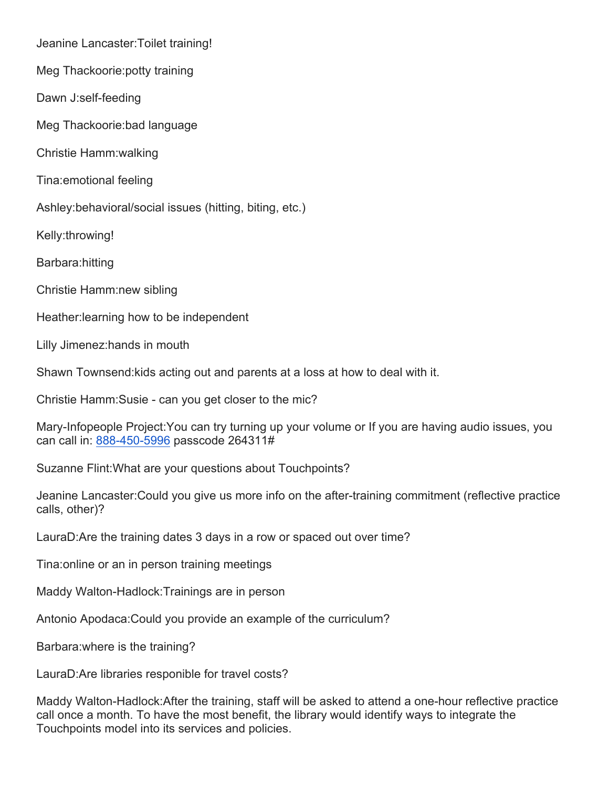Jeanine Lancaster:Toilet training!

Meg Thackoorie:potty training

Dawn J:self-feeding

Meg Thackoorie:bad language

Christie Hamm:walking

Tina:emotional feeling

Ashley:behavioral/social issues (hitting, biting, etc.)

Kelly:throwing!

Barbara:hitting

Christie Hamm:new sibling

Heather:learning how to be independent

Lilly Jimenez:hands in mouth

Shawn Townsend:kids acting out and parents at a loss at how to deal with it.

Christie Hamm:Susie - can you get closer to the mic?

Mary-Infopeople Project:You can try turning up your volume or If you are having audio issues, you can call in: 888-450-5996 passcode 264311#

Suzanne Flint:What are your questions about Touchpoints?

Jeanine Lancaster:Could you give us more info on the after-training commitment (reflective practice calls, other)?

LauraD:Are the training dates 3 days in a row or spaced out over time?

Tina:online or an in person training meetings

Maddy Walton-Hadlock:Trainings are in person

Antonio Apodaca:Could you provide an example of the curriculum?

Barbara:where is the training?

LauraD:Are libraries responible for travel costs?

Maddy Walton-Hadlock:After the training, staff will be asked to attend a one-hour reflective practice call once a month. To have the most benefit, the library would identify ways to integrate the Touchpoints model into its services and policies.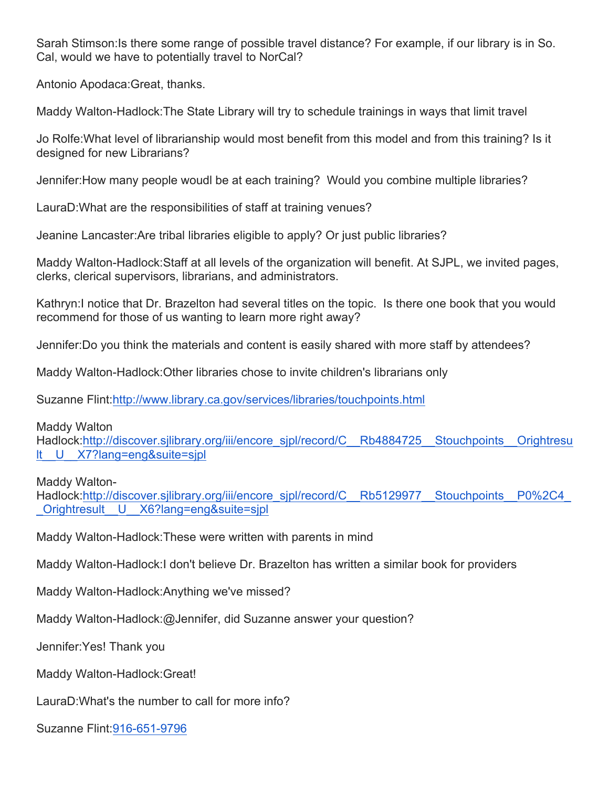Sarah Stimson:Is there some range of possible travel distance? For example, if our library is in So. Cal, would we have to potentially travel to NorCal?

Antonio Apodaca:Great, thanks.

Maddy Walton-Hadlock:The State Library will try to schedule trainings in ways that limit travel

Jo Rolfe:What level of librarianship would most benefit from this model and from this training? Is it designed for new Librarians?

Jennifer:How many people woudl be at each training? Would you combine multiple libraries?

LauraD:What are the responsibilities of staff at training venues?

Jeanine Lancaster:Are tribal libraries eligible to apply? Or just public libraries?

Maddy Walton-Hadlock:Staff at all levels of the organization will benefit. At SJPL, we invited pages, clerks, clerical supervisors, librarians, and administrators.

Kathryn:I notice that Dr. Brazelton had several titles on the topic. Is there one book that you would recommend for those of us wanting to learn more right away?

Jennifer:Do you think the materials and content is easily shared with more staff by attendees?

Maddy Walton-Hadlock:Other libraries chose to invite children's librarians only

Suzanne Flint:http://www.library.ca.gov/services/libraries/touchpoints.html

Maddy Walton

Hadlock:http://discover.sjlibrary.org/iii/encore\_sjpl/record/C\_\_Rb4884725\_\_Stouchpoints\_\_Orightresu lt\_\_U\_\_X7?lang=eng&suite=sjpl

Maddy Walton-

Hadlock:http://discover.sjlibrary.org/iii/encore\_sjpl/record/C\_\_Rb5129977\_\_Stouchpoints\_\_P0%2C4 \_Orightresult\_\_U\_\_X6?lang=eng&suite=sjpl

Maddy Walton-Hadlock:These were written with parents in mind

Maddy Walton-Hadlock:I don't believe Dr. Brazelton has written a similar book for providers

Maddy Walton-Hadlock:Anything we've missed?

Maddy Walton-Hadlock:@Jennifer, did Suzanne answer your question?

Jennifer:Yes! Thank you

Maddy Walton-Hadlock:Great!

LauraD:What's the number to call for more info?

Suzanne Flint:916-651-9796